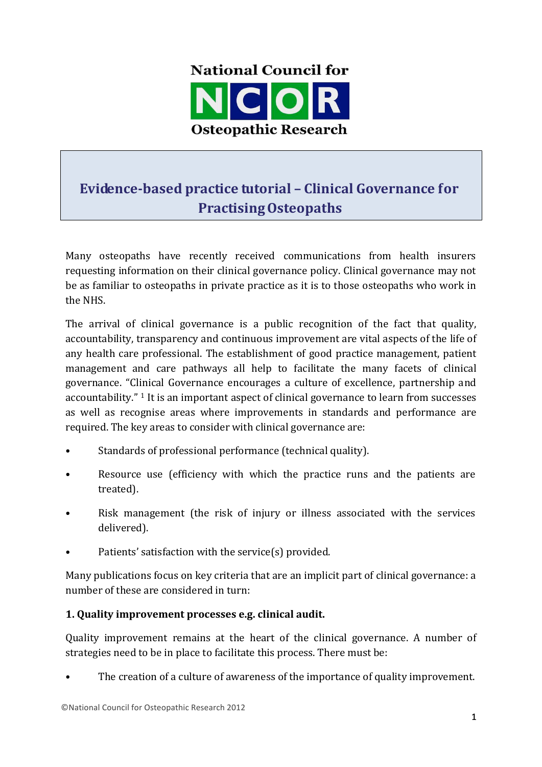

# **Evidence-based practice tutorial – Clinical Governance for PractisingOsteopaths**

Many osteopaths have recently received communications from health insurers requesting information on their clinical governance policy. Clinical governance may not be as familiar to osteopaths in private practice as it is to those osteopaths who work in the NHS.

The arrival of clinical governance is a public recognition of the fact that quality, accountability, transparency and continuous improvement are vital aspects of the life of any health care professional. The establishment of good practice management, patient management and care pathways all help to facilitate the many facets of clinical governance. "Clinical Governance encourages a culture of excellence, partnership and accountability."  $\frac{1}{1}$  It is an important aspect of clinical governance to learn from successes as well as recognise areas where improvements in standards and performance are required. The key areas to consider with clinical governance are:

- Standards of professional performance (technical quality).
- Resource use (efficiency with which the practice runs and the patients are treated).
- Risk management (the risk of injury or illness associated with the services delivered).
- Patients' satisfaction with the service(s) provided.

Many publications focus on key criteria that are an implicit part of clinical governance: a number of these are considered in turn:

## **1. Quality improvement processes e.g. clinical audit.**

Quality improvement remains at the heart of the clinical governance. A number of strategies need to be in place to facilitate this process. There must be:

The creation of a culture of awareness of the importance of quality improvement.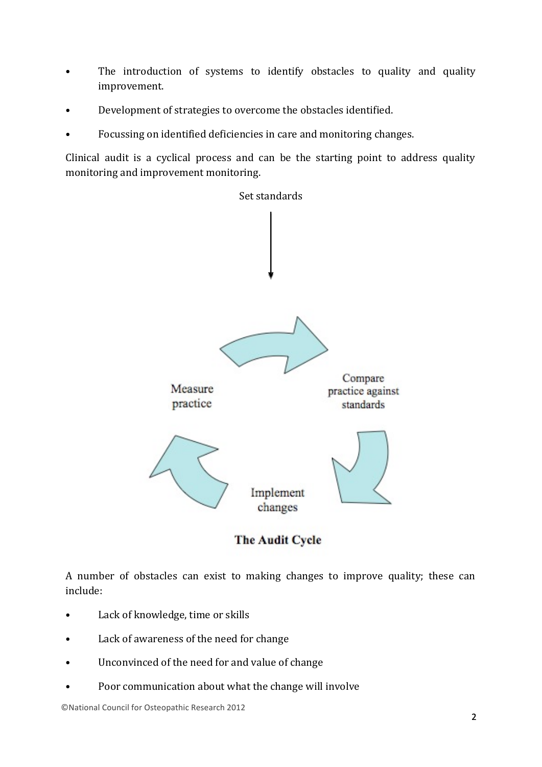- The introduction of systems to identify obstacles to quality and quality improvement.
- Development of strategies to overcome the obstacles identified.
- Focussing on identified deficiencies in care and monitoring changes.

Clinical audit is a cyclical process and can be the starting point to address quality monitoring and improvement monitoring.





A number of obstacles can exist to making changes to improve quality; these can include:

- Lack of knowledge, time or skills
- Lack of awareness of the need for change
- Unconvinced of the need for and value of change
- Poor communication about what the change will involve

©National Council for Osteopathic Research 2012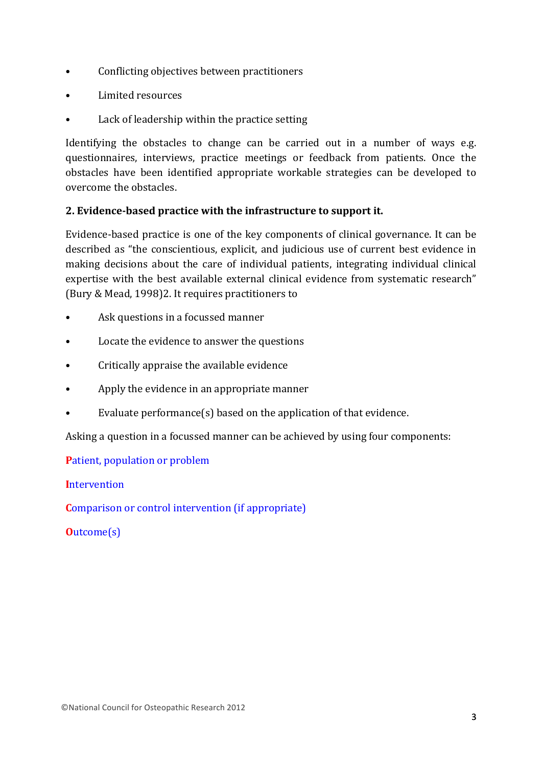- Conflicting objectives between practitioners
- Limited resources
- Lack of leadership within the practice setting

Identifying the obstacles to change can be carried out in a number of ways e.g. questionnaires, interviews, practice meetings or feedback from patients. Once the obstacles have been identified appropriate workable strategies can be developed to overcome the obstacles

# **2. Evidence-based practice with the infrastructure to support it.**

Evidence-based practice is one of the key components of clinical governance. It can be described as "the conscientious, explicit, and judicious use of current best evidence in making decisions about the care of individual patients, integrating individual clinical expertise with the best available external clinical evidence from systematic research" (Bury & Mead, 1998)2. It requires practitioners to

- Ask questions in a focussed manner
- Locate the evidence to answer the questions
- Critically appraise the available evidence
- Apply the evidence in an appropriate manner
- Evaluate performance $(s)$  based on the application of that evidence.

Asking a question in a focussed manner can be achieved by using four components:

**Patient, population or problem** 

**I**ntervention

**Comparison or control intervention (if appropriate)** 

**O**utcome(s)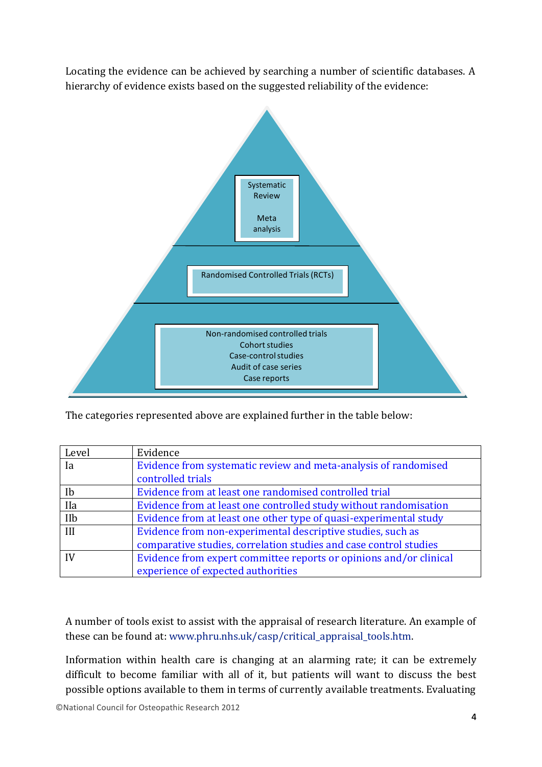Locating the evidence can be achieved by searching a number of scientific databases. A hierarchy of evidence exists based on the suggested reliability of the evidence:



The categories represented above are explained further in the table below:

| Level       | Evidence                                                           |
|-------------|--------------------------------------------------------------------|
| Ia          | Evidence from systematic review and meta-analysis of randomised    |
|             | controlled trials                                                  |
| Ib          | Evidence from at least one randomised controlled trial             |
| <b>I</b> Ia | Evidence from at least one controlled study without randomisation  |
| IIb         | Evidence from at least one other type of quasi-experimental study  |
| III         | Evidence from non-experimental descriptive studies, such as        |
|             | comparative studies, correlation studies and case control studies  |
|             | Evidence from expert committee reports or opinions and/or clinical |
|             | experience of expected authorities                                 |

A number of tools exist to assist with the appraisal of research literature. An example of these can be found at: www.phru.nhs.uk/casp/critical\_appraisal\_tools.htm.

Information within health care is changing at an alarming rate; it can be extremely difficult to become familiar with all of it, but patients will want to discuss the best possible options available to them in terms of currently available treatments. Evaluating

©National Council for Osteopathic Research 2012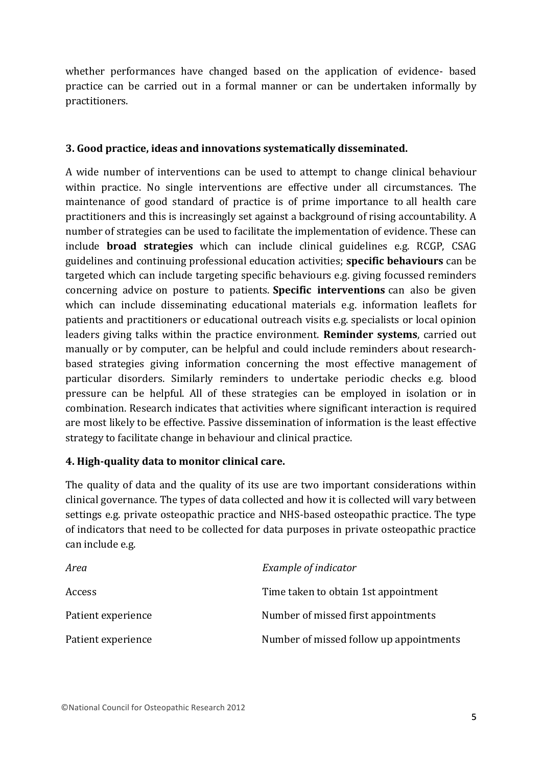whether performances have changed based on the application of evidence- based practice can be carried out in a formal manner or can be undertaken informally by practitioners.

## **3. Good practice, ideas and innovations systematically disseminated.**

A wide number of interventions can be used to attempt to change clinical behaviour within practice. No single interventions are effective under all circumstances. The maintenance of good standard of practice is of prime importance to all health care practitioners and this is increasingly set against a background of rising accountability. A number of strategies can be used to facilitate the implementation of evidence. These can include **broad strategies** which can include clinical guidelines e.g. RCGP, CSAG guidelines and continuing professional education activities; **specific behaviours** can be targeted which can include targeting specific behaviours e.g. giving focussed reminders concerning advice on posture to patients. **Specific interventions** can also be given which can include disseminating educational materials e.g. information leaflets for patients and practitioners or educational outreach visits e.g. specialists or local opinion leaders giving talks within the practice environment. **Reminder systems**, carried out manually or by computer, can be helpful and could include reminders about researchbased strategies giving information concerning the most effective management of particular disorders. Similarly reminders to undertake periodic checks e.g. blood pressure can be helpful. All of these strategies can be employed in isolation or in combination. Research indicates that activities where significant interaction is required are most likely to be effective. Passive dissemination of information is the least effective strategy to facilitate change in behaviour and clinical practice.

## **4. High-quality data to monitor clinical care.**

The quality of data and the quality of its use are two important considerations within clinical governance. The types of data collected and how it is collected will vary between settings e.g. private osteopathic practice and NHS-based osteopathic practice. The type of indicators that need to be collected for data purposes in private osteopathic practice can include e.g.

| Area               | Example of indicator                    |
|--------------------|-----------------------------------------|
| Access             | Time taken to obtain 1st appointment    |
| Patient experience | Number of missed first appointments     |
| Patient experience | Number of missed follow up appointments |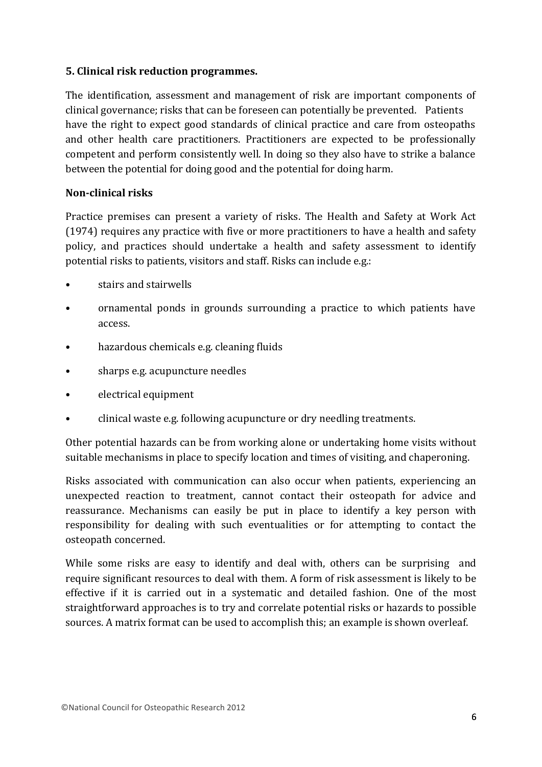#### **5. Clinical risk reduction programmes.**

The identification, assessment and management of risk are important components of clinical governance; risks that can be foreseen can potentially be prevented. Patients have the right to expect good standards of clinical practice and care from osteopaths and other health care practitioners. Practitioners are expected to be professionally competent and perform consistently well. In doing so they also have to strike a balance between the potential for doing good and the potential for doing harm.

#### **Non-clinical risks**

Practice premises can present a variety of risks. The Health and Safety at Work Act (1974) requires any practice with five or more practitioners to have a health and safety policy, and practices should undertake a health and safety assessment to identify potential risks to patients, visitors and staff. Risks can include e.g.:

- stairs and stairwells
- ornamental ponds in grounds surrounding a practice to which patients have access.
- hazardous chemicals e.g. cleaning fluids
- sharps e.g. acupuncture needles
- electrical equipment
- clinical waste e.g. following acupuncture or dry needling treatments.

Other potential hazards can be from working alone or undertaking home visits without suitable mechanisms in place to specify location and times of visiting, and chaperoning.

Risks associated with communication can also occur when patients, experiencing an unexpected reaction to treatment, cannot contact their osteopath for advice and reassurance. Mechanisms can easily be put in place to identify a key person with responsibility for dealing with such eventualities or for attempting to contact the osteopath concerned.

While some risks are easy to identify and deal with, others can be surprising and require significant resources to deal with them. A form of risk assessment is likely to be effective if it is carried out in a systematic and detailed fashion. One of the most straightforward approaches is to try and correlate potential risks or hazards to possible sources. A matrix format can be used to accomplish this; an example is shown overleaf.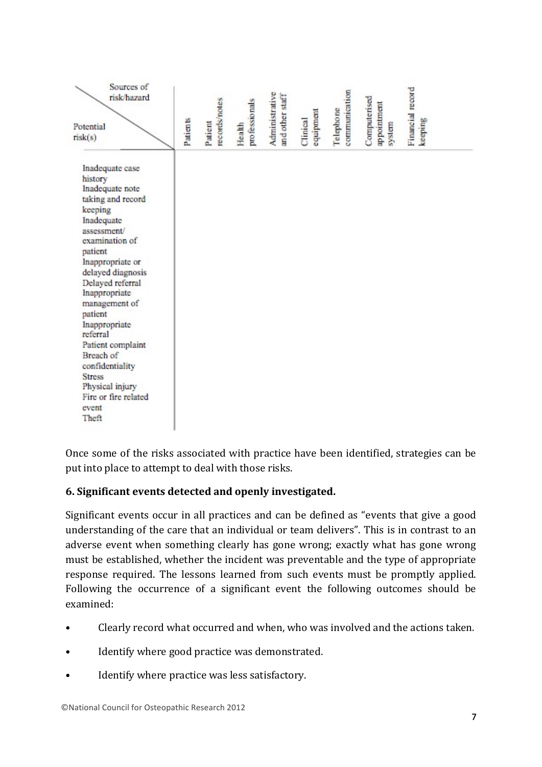| Sources of<br>risk/hazard<br>Potential<br>risk(s)                                                                                                                                                                                                                                                                                                                                                                 | Patients | records/notes<br>Patient | professionals<br>Health | Administrative<br>and other staff | equipment<br>Clinical | communication<br>Telephone | Computerised<br>appointment<br>system | Financial record<br>seeping |
|-------------------------------------------------------------------------------------------------------------------------------------------------------------------------------------------------------------------------------------------------------------------------------------------------------------------------------------------------------------------------------------------------------------------|----------|--------------------------|-------------------------|-----------------------------------|-----------------------|----------------------------|---------------------------------------|-----------------------------|
| Inadequate case<br>history<br>Inadequate note<br>taking and record<br>keeping<br>Inadequate<br>assessment/<br>examination of<br>patient<br>Inappropriate or<br>delayed diagnosis<br>Delayed referral<br>Inappropriate<br>management of<br>patient<br>Inappropriate<br>referral<br>Patient complaint<br>Breach of<br>confidentiality<br><b>Stress</b><br>Physical injury<br>Fire or fire related<br>event<br>Theft |          |                          |                         |                                   |                       |                            |                                       |                             |

Once some of the risks associated with practice have been identified, strategies can be put into place to attempt to deal with those risks.

# **6. Significant events detected and openly investigated.**

Significant events occur in all practices and can be defined as "events that give a good understanding of the care that an individual or team delivers". This is in contrast to an adverse event when something clearly has gone wrong; exactly what has gone wrong must be established, whether the incident was preventable and the type of appropriate response required. The lessons learned from such events must be promptly applied. Following the occurrence of a significant event the following outcomes should be examined:

- Clearly record what occurred and when, who was involved and the actions taken.
- Identify where good practice was demonstrated.
- Identify where practice was less satisfactory.